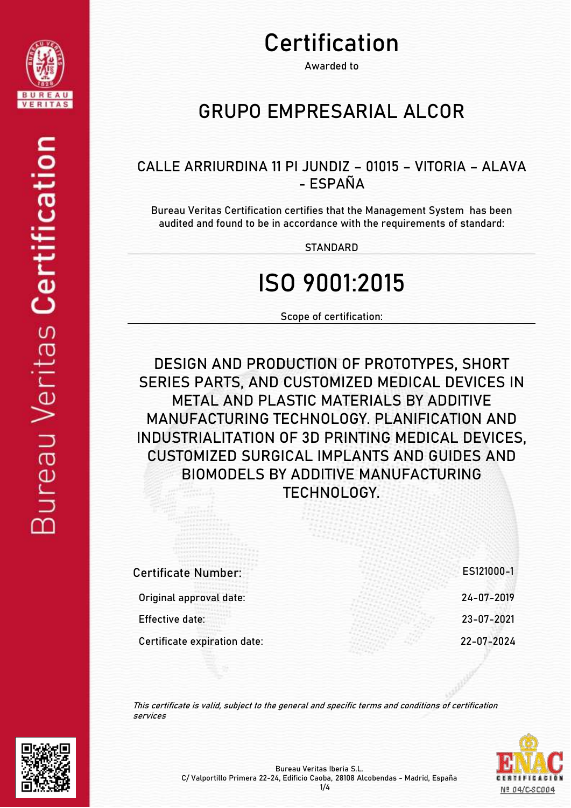

## Certification

Awarded to

### **GRUPO EMPRESARIAL ALCOR**

#### CALLE ARRIURDINA 11 PI JUNDIZ – 01015 – VITORIA – ALAVA - ESPAÑA

Bureau Veritas Certification certifies that the Management System has been audited and found to be in accordance with the requirements of standard:

**STANDARD** 

### ISO 9001:2015

Scope of certification:

DESIGN AND PRODUCTION OF PROTOTYPES, SHORT SERIES PARTS, AND CUSTOMIZED MEDICAL DEVICES IN METAL AND PLASTIC MATERIALS BY ADDITIVE MANUFACTURING TECHNOLOGY. PLANIFICATION AND INDUSTRIALITATION OF 3D PRINTING MEDICAL DEVICES, CUSTOMIZED SURGICAL IMPLANTS AND GUIDES AND BIOMODELS BY ADDITIVE MANUFACTURING TECHNOLOGY.

| <b>Certificate Number:</b>   | ES121000-1 |
|------------------------------|------------|
| Original approval date:      | 24-07-2019 |
| <b>Effective date:</b>       | 23-07-2021 |
| Certificate expiration date: | 22-07-2024 |

This certificate is valid, subject to the general and specific terms and conditions of certification services



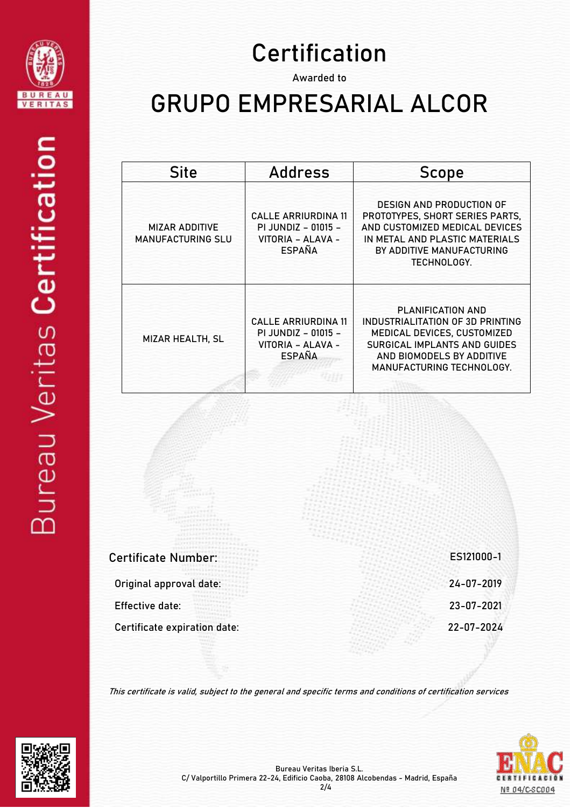

## Certification

Awarded to

## GRUPO EMPRESARIAL ALCOR

| <b>Site</b>                                       | <b>Address</b>                                                                          | <b>Scope</b>                                                                                                                                                                       |
|---------------------------------------------------|-----------------------------------------------------------------------------------------|------------------------------------------------------------------------------------------------------------------------------------------------------------------------------------|
| <b>MIZAR ADDITIVE</b><br><b>MANUFACTURING SLU</b> | <b>CALLE ARRIURDINA 11</b><br>PL JUNDIZ - 01015 -<br>VITORIA - ALAVA -<br><b>FSPAÑA</b> | <b>DESIGN AND PRODUCTION OF</b><br>PROTOTYPES, SHORT SERIES PARTS,<br>AND CUSTOMIZED MEDICAL DEVICES<br>IN METAL AND PLASTIC MATERIALS<br>BY ADDITIVE MANUFACTURING<br>TECHNOLOGY. |
| MIZAR HEALTH, SL                                  | <b>CALLE ARRIURDINA 11</b><br>PI JUNDIZ - 01015 -<br>VITORIA - ALAVA -<br><b>ESPAÑA</b> | PLANIFICATION AND<br>INDUSTRIALITATION OF 3D PRINTING<br>MEDICAL DEVICES, CUSTOMIZED<br>SURGICAL IMPLANTS AND GUIDES<br>AND BIOMODELS BY ADDITIVE<br>MANUFACTURING TECHNOLOGY.     |

| <b>Certificate Number:</b>   | ES121000-1 |
|------------------------------|------------|
| Original approval date:      | 24-07-2019 |
| <b>Effective date:</b>       | 23-07-2021 |
| Certificate expiration date: | 22-07-2024 |
|                              |            |

This certificate is valid, subject to the general and specific terms and conditions of certification services



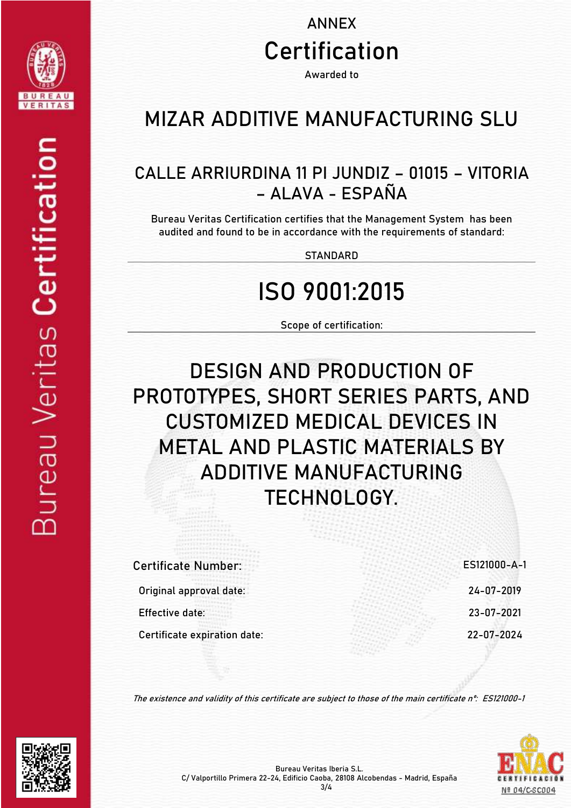

#### ANNEX **Certification** Awarded to

### MIZAR ADDITIVE MANUFACTURING SLU

#### CALLE ARRIURDINA 11 PI JUNDIZ – 01015 – VITORIA – ALAVA - ESPAÑA

Bureau Veritas Certification certifies that the Management System has been audited and found to be in accordance with the requirements of standard:

STANDARD

## ISO 9001:2015

Scope of certification:

### DESIGN AND PRODUCTION OF PROTOTYPES, SHORT SERIES PARTS, AND CUSTOMIZED MEDICAL DEVICES IN METAL AND PLASTIC MATERIALS BY ADDITIVE MANUFACTURING TECHNOLOGY.

| ES121000-A-1 |
|--------------|
| 24-07-2019   |
| 23-07-2021   |
| 22-07-2024   |
|              |

The existence and validity of this certificate are subject to those of the main certificate nº: ES121000-1